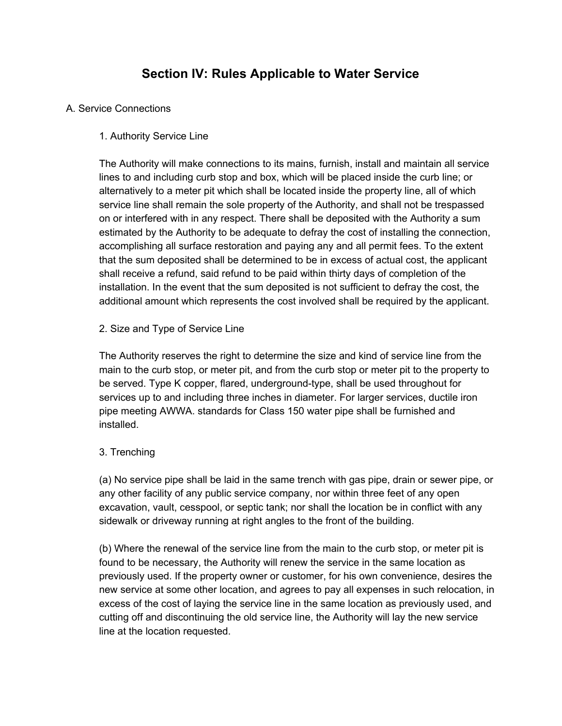# **Section IV: Rules Applicable to Water Service**

## A. Service Connections

## 1. Authority Service Line

The Authority will make connections to its mains, furnish, install and maintain all service lines to and including curb stop and box, which will be placed inside the curb line; or alternatively to a meter pit which shall be located inside the property line, all of which service line shall remain the sole property of the Authority, and shall not be trespassed on or interfered with in any respect. There shall be deposited with the Authority a sum estimated by the Authority to be adequate to defray the cost of installing the connection, accomplishing all surface restoration and paying any and all permit fees. To the extent that the sum deposited shall be determined to be in excess of actual cost, the applicant shall receive a refund, said refund to be paid within thirty days of completion of the installation. In the event that the sum deposited is not sufficient to defray the cost, the additional amount which represents the cost involved shall be required by the applicant.

## 2. Size and Type of Service Line

The Authority reserves the right to determine the size and kind of service line from the main to the curb stop, or meter pit, and from the curb stop or meter pit to the property to be served. Type K copper, flared, underground-type, shall be used throughout for services up to and including three inches in diameter. For larger services, ductile iron pipe meeting AWWA. standards for Class 150 water pipe shall be furnished and installed.

## 3. Trenching

(a) No service pipe shall be laid in the same trench with gas pipe, drain or sewer pipe, or any other facility of any public service company, nor within three feet of any open excavation, vault, cesspool, or septic tank; nor shall the location be in conflict with any sidewalk or driveway running at right angles to the front of the building.

(b) Where the renewal of the service line from the main to the curb stop, or meter pit is found to be necessary, the Authority will renew the service in the same location as previously used. If the property owner or customer, for his own convenience, desires the new service at some other location, and agrees to pay all expenses in such relocation, in excess of the cost of laying the service line in the same location as previously used, and cutting off and discontinuing the old service line, the Authority will lay the new service line at the location requested.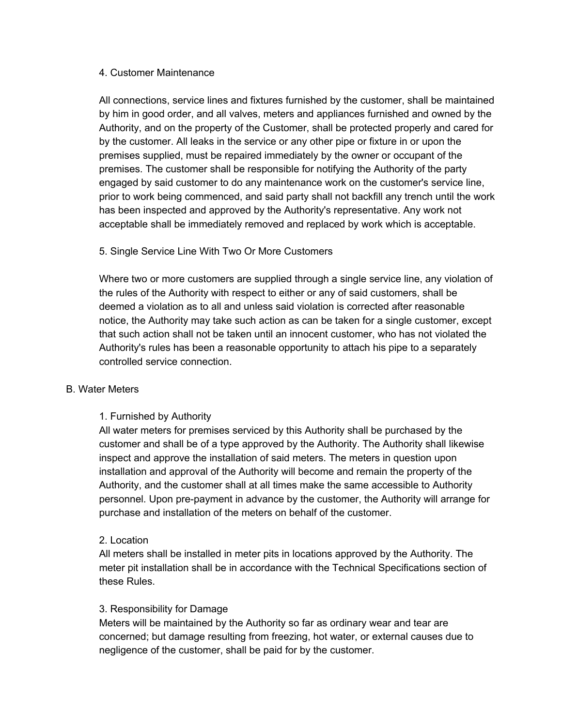#### 4. Customer Maintenance

All connections, service lines and fixtures furnished by the customer, shall be maintained by him in good order, and all valves, meters and appliances furnished and owned by the Authority, and on the property of the Customer, shall be protected properly and cared for by the customer. All leaks in the service or any other pipe or fixture in or upon the premises supplied, must be repaired immediately by the owner or occupant of the premises. The customer shall be responsible for notifying the Authority of the party engaged by said customer to do any maintenance work on the customer's service line, prior to work being commenced, and said party shall not backfill any trench until the work has been inspected and approved by the Authority's representative. Any work not acceptable shall be immediately removed and replaced by work which is acceptable.

## 5. Single Service Line With Two Or More Customers

Where two or more customers are supplied through a single service line, any violation of the rules of the Authority with respect to either or any of said customers, shall be deemed a violation as to all and unless said violation is corrected after reasonable notice, the Authority may take such action as can be taken for a single customer, except that such action shall not be taken until an innocent customer, who has not violated the Authority's rules has been a reasonable opportunity to attach his pipe to a separately controlled service connection.

## B. Water Meters

## 1. Furnished by Authority

All water meters for premises serviced by this Authority shall be purchased by the customer and shall be of a type approved by the Authority. The Authority shall likewise inspect and approve the installation of said meters. The meters in question upon installation and approval of the Authority will become and remain the property of the Authority, and the customer shall at all times make the same accessible to Authority personnel. Upon pre-payment in advance by the customer, the Authority will arrange for purchase and installation of the meters on behalf of the customer.

## 2. Location

All meters shall be installed in meter pits in locations approved by the Authority. The meter pit installation shall be in accordance with the Technical Specifications section of these Rules.

## 3. Responsibility for Damage

Meters will be maintained by the Authority so far as ordinary wear and tear are concerned; but damage resulting from freezing, hot water, or external causes due to negligence of the customer, shall be paid for by the customer.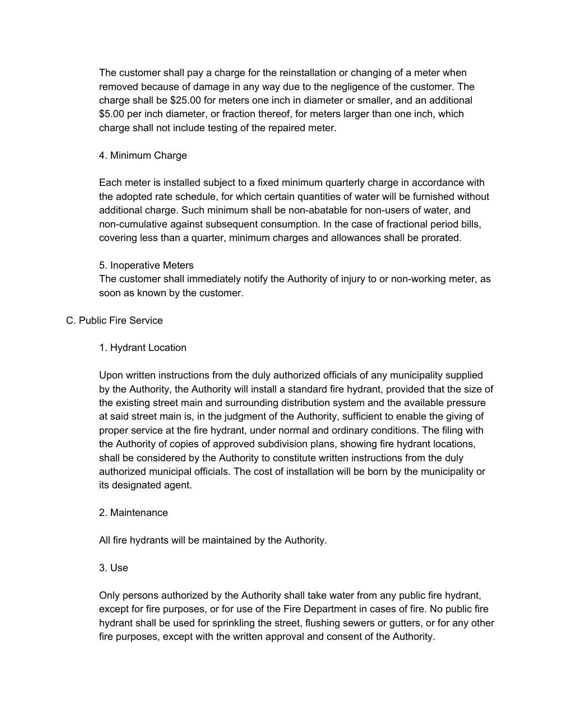The customer shall pay a charge for the reinstallation or changing of a meter when removed because of damage in any way due to the negligence of the customer. The charge shall be \$25.00 for meters one inch in diameter or smaller, and an additional \$5.00 per inch diameter, or fraction thereof, for meters larger than one inch, which charge shall not include testing of the repaired meter.

## 4. Minimum Charge

Each meter is installed subject to a fixed minimum quarterly charge in accordance with the adopted rate schedule, for which certain quantities of water will be furnished without additional charge. Such minimum shall be non-abatable for non-users of water, and non-cumulative against subsequent consumption. In the case of fractional period bills, covering less than a quarter, minimum charges and allowances shall be prorated.

## 5. Inoperative Meters

The customer shall immediately notify the Authority of injury to or non-working meter, as soon as known by the customer.

## C. Public Fire Service

## 1. Hydrant Location

Upon written instructions from the duly authorized officials of any municipality supplied by the Authority, the Authority will install a standard fire hydrant, provided that the size of the existing street main and surrounding distribution system and the available pressure at said street main is, in the judgment of the Authority, sufficient to enable the giving of proper service at the fire hydrant, under normal and ordinary conditions. The filing with the Authority of copies of approved subdivision plans, showing fire hydrant locations, shall be considered by the Authority to constitute written instructions from the duly authorized municipal officials. The cost of installation will be born by the municipality or its designated agent.

## 2. Maintenance

All fire hydrants will be maintained by the Authority.

3. Use

Only persons authorized by the Authority shall take water from any public fire hydrant, except for fire purposes, or for use of the Fire Department in cases of fire. No public fire hydrant shall be used for sprinkling the street, flushing sewers or gutters, or for any other fire purposes, except with the written approval and consent of the Authority.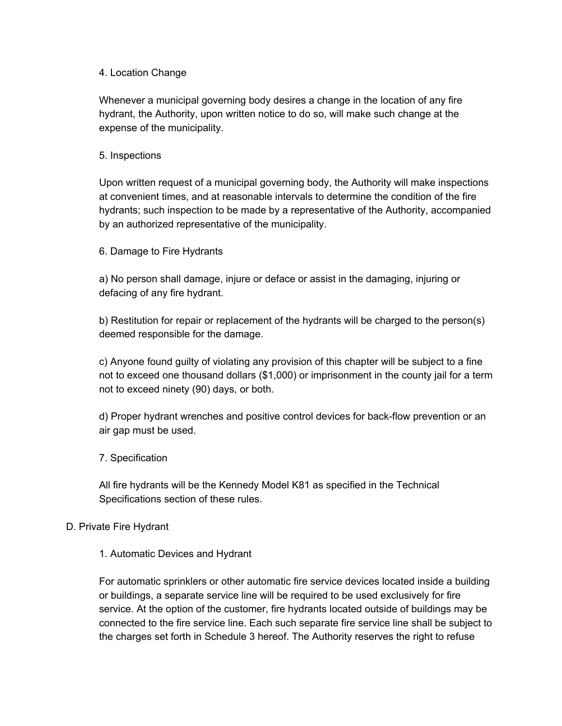## 4. Location Change

Whenever a municipal governing body desires a change in the location of any fire hydrant, the Authority, upon written notice to do so, will make such change at the expense of the municipality.

## 5. Inspections

Upon written request of a municipal governing body, the Authority will make inspections at convenient times, and at reasonable intervals to determine the condition of the fire hydrants; such inspection to be made by a representative of the Authority, accompanied by an authorized representative of the municipality.

## 6. Damage to Fire Hydrants

a) No person shall damage, injure or deface or assist in the damaging, injuring or defacing of any fire hydrant.

b) Restitution for repair or replacement of the hydrants will be charged to the person(s) deemed responsible for the damage.

c) Anyone found guilty of violating any provision of this chapter will be subject to a fine not to exceed one thousand dollars (\$1,000) or imprisonment in the county jail for a term not to exceed ninety (90) days, or both.

d) Proper hydrant wrenches and positive control devices for back-flow prevention or an air gap must be used.

## 7. Specification

All fire hydrants will be the Kennedy Model K81 as specified in the Technical Specifications section of these rules.

## D. Private Fire Hydrant

## 1. Automatic Devices and Hydrant

For automatic sprinklers or other automatic fire service devices located inside a building or buildings, a separate service line will be required to be used exclusively for fire service. At the option of the customer, fire hydrants located outside of buildings may be connected to the fire service line. Each such separate fire service line shall be subject to the charges set forth in Schedule 3 hereof. The Authority reserves the right to refuse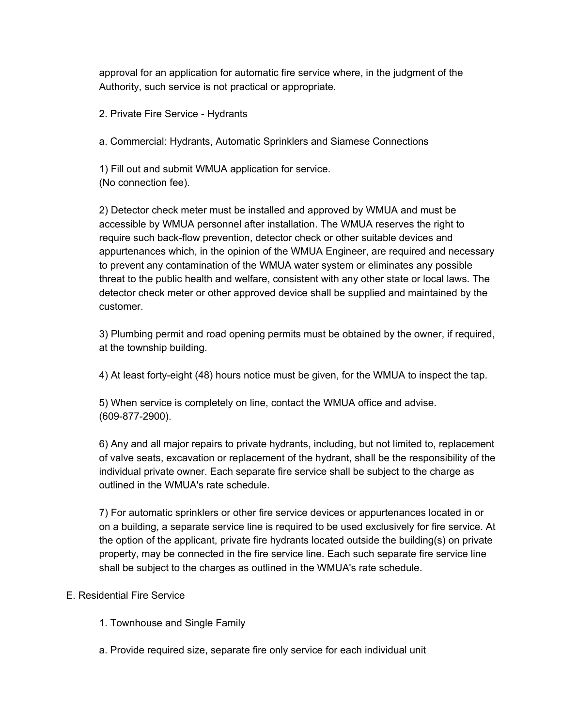approval for an application for automatic fire service where, in the judgment of the Authority, such service is not practical or appropriate.

2. Private Fire Service - Hydrants

a. Commercial: Hydrants, Automatic Sprinklers and Siamese Connections

1) Fill out and submit WMUA application for service. (No connection fee).

2) Detector check meter must be installed and approved by WMUA and must be accessible by WMUA personnel after installation. The WMUA reserves the right to require such back-flow prevention, detector check or other suitable devices and appurtenances which, in the opinion of the WMUA Engineer, are required and necessary to prevent any contamination of the WMUA water system or eliminates any possible threat to the public health and welfare, consistent with any other state or local laws. The detector check meter or other approved device shall be supplied and maintained by the customer.

3) Plumbing permit and road opening permits must be obtained by the owner, if required, at the township building.

4) At least fortyeight (48) hours notice must be given, for the WMUA to inspect the tap.

5) When service is completely on line, contact the WMUA office and advise. (609-877-2900).

6) Any and all major repairs to private hydrants, including, but not limited to, replacement of valve seats, excavation or replacement of the hydrant, shall be the responsibility of the individual private owner. Each separate fire service shall be subject to the charge as outlined in the WMUA's rate schedule.

7) For automatic sprinklers or other fire service devices or appurtenances located in or on a building, a separate service line is required to be used exclusively for fire service. At the option of the applicant, private fire hydrants located outside the building(s) on private property, may be connected in the fire service line. Each such separate fire service line shall be subject to the charges as outlined in the WMUA's rate schedule.

## E. Residential Fire Service

- 1. Townhouse and Single Family
- a. Provide required size, separate fire only service for each individual unit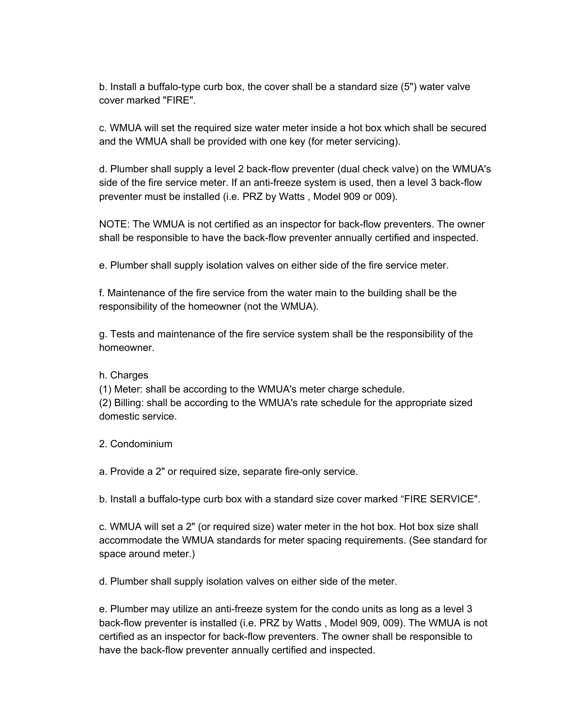b. Install a buffalo-type curb box, the cover shall be a standard size (5") water valve cover marked "FIRE".

c. WMUA will set the required size water meter inside a hot box which shall be secured and the WMUA shall be provided with one key (for meter servicing).

d. Plumber shall supply a level 2 back-flow preventer (dual check valve) on the WMUA's side of the fire service meter. If an anti-freeze system is used, then a level 3 back-flow preventer must be installed (i.e. PRZ by Watts , Model 909 or 009).

NOTE: The WMUA is not certified as an inspector for back-flow preventers. The owner shall be responsible to have the back-flow preventer annually certified and inspected.

e. Plumber shall supply isolation valves on either side of the fire service meter.

f. Maintenance of the fire service from the water main to the building shall be the responsibility of the homeowner (not the WMUA).

g. Tests and maintenance of the fire service system shall be the responsibility of the homeowner.

## h. Charges

(1) Meter: shall be according to the WMUA's meter charge schedule.

(2) Billing: shall be according to the WMUA's rate schedule for the appropriate sized domestic service.

2. Condominium

a. Provide a 2" or required size, separate fire-only service.

b. Install a buffalo-type curb box with a standard size cover marked "FIRE SERVICE".

c. WMUA will set a 2" (or required size) water meter in the hot box. Hot box size shall accommodate the WMUA standards for meter spacing requirements. (See standard for space around meter.)

d. Plumber shall supply isolation valves on either side of the meter.

e. Plumber may utilize an anti-freeze system for the condo units as long as a level 3 back-flow preventer is installed (i.e. PRZ by Watts, Model 909, 009). The WMUA is not certified as an inspector for back-flow preventers. The owner shall be responsible to have the back-flow preventer annually certified and inspected.